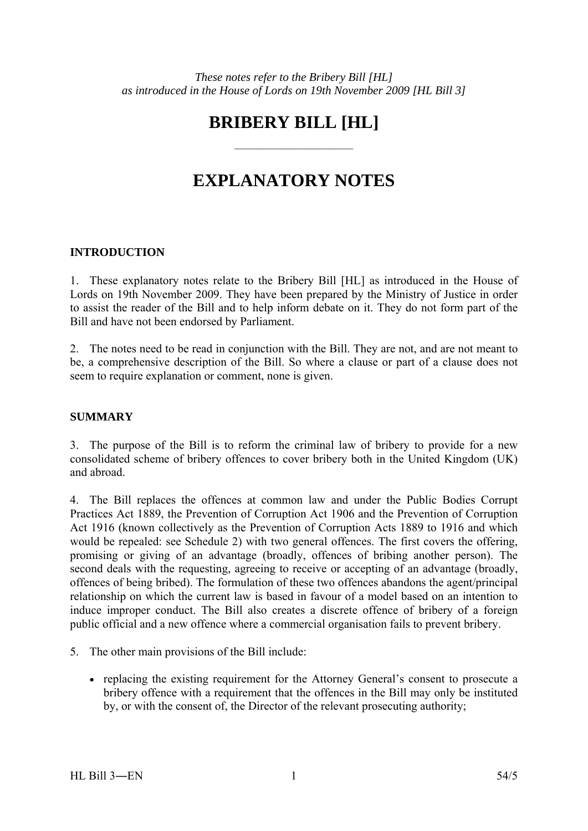# **BRIBERY BILL [HL]**

——————————

# **EXPLANATORY NOTES**

# **INTRODUCTION**

1. These explanatory notes relate to the Bribery Bill [HL] as introduced in the House of Lords on 19th November 2009. They have been prepared by the Ministry of Justice in order to assist the reader of the Bill and to help inform debate on it. They do not form part of the Bill and have not been endorsed by Parliament.

2. The notes need to be read in conjunction with the Bill. They are not, and are not meant to be, a comprehensive description of the Bill. So where a clause or part of a clause does not seem to require explanation or comment, none is given.

# **SUMMARY**

3. The purpose of the Bill is to reform the criminal law of bribery to provide for a new consolidated scheme of bribery offences to cover bribery both in the United Kingdom (UK) and abroad.

4. The Bill replaces the offences at common law and under the Public Bodies Corrupt Practices Act 1889, the Prevention of Corruption Act 1906 and the Prevention of Corruption Act 1916 (known collectively as the Prevention of Corruption Acts 1889 to 1916 and which would be repealed: see Schedule 2) with two general offences. The first covers the offering, promising or giving of an advantage (broadly, offences of bribing another person). The second deals with the requesting, agreeing to receive or accepting of an advantage (broadly, offences of being bribed). The formulation of these two offences abandons the agent/principal relationship on which the current law is based in favour of a model based on an intention to induce improper conduct. The Bill also creates a discrete offence of bribery of a foreign public official and a new offence where a commercial organisation fails to prevent bribery.

- 5. The other main provisions of the Bill include:
	- replacing the existing requirement for the Attorney General's consent to prosecute a bribery offence with a requirement that the offences in the Bill may only be instituted by, or with the consent of, the Director of the relevant prosecuting authority;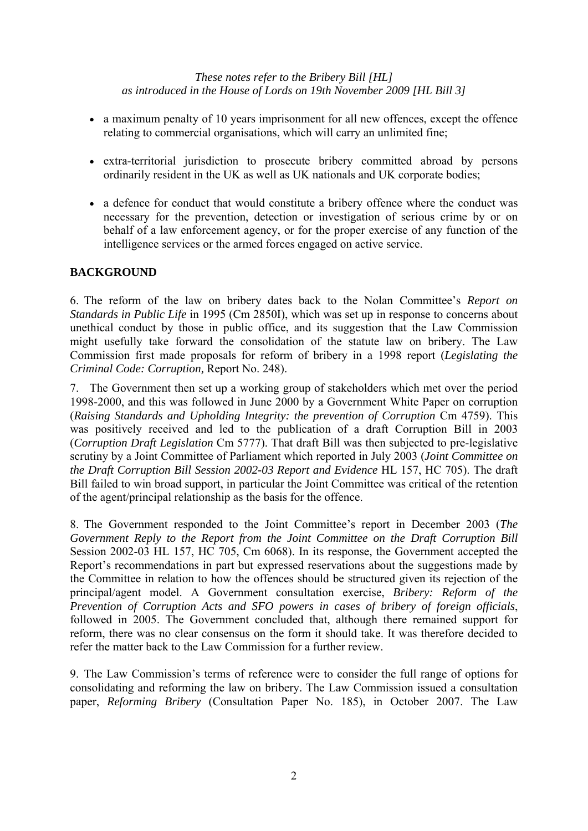- a maximum penalty of 10 years imprisonment for all new offences, except the offence relating to commercial organisations, which will carry an unlimited fine;
- extra-territorial jurisdiction to prosecute bribery committed abroad by persons ordinarily resident in the UK as well as UK nationals and UK corporate bodies;
- a defence for conduct that would constitute a bribery offence where the conduct was necessary for the prevention, detection or investigation of serious crime by or on behalf of a law enforcement agency, or for the proper exercise of any function of the intelligence services or the armed forces engaged on active service.

# **BACKGROUND**

6. The reform of the law on bribery dates back to the Nolan Committee's *Report on Standards in Public Life* in 1995 (Cm 2850I), which was set up in response to concerns about unethical conduct by those in public office, and its suggestion that the Law Commission might usefully take forward the consolidation of the statute law on bribery. The Law Commission first made proposals for reform of bribery in a 1998 report (*Legislating the Criminal Code: Corruption,* Report No. 248).

7. The Government then set up a working group of stakeholders which met over the period 1998-2000, and this was followed in June 2000 by a Government White Paper on corruption (*Raising Standards and Upholding Integrity: the prevention of Corruption* Cm 4759). This was positively received and led to the publication of a draft Corruption Bill in 2003 (*Corruption Draft Legislation* Cm 5777). That draft Bill was then subjected to pre-legislative scrutiny by a Joint Committee of Parliament which reported in July 2003 (*Joint Committee on the Draft Corruption Bill Session 2002-03 Report and Evidence* HL 157, HC 705). The draft Bill failed to win broad support, in particular the Joint Committee was critical of the retention of the agent/principal relationship as the basis for the offence.

8. The Government responded to the Joint Committee's report in December 2003 (*The Government Reply to the Report from the Joint Committee on the Draft Corruption Bill* Session 2002-03 HL 157, HC 705, Cm 6068). In its response, the Government accepted the Report's recommendations in part but expressed reservations about the suggestions made by the Committee in relation to how the offences should be structured given its rejection of the principal/agent model. A Government consultation exercise, *Bribery: Reform of the Prevention of Corruption Acts and SFO powers in cases of bribery of foreign officials*, followed in 2005. The Government concluded that, although there remained support for reform, there was no clear consensus on the form it should take. It was therefore decided to refer the matter back to the Law Commission for a further review.

9. The Law Commission's terms of reference were to consider the full range of options for consolidating and reforming the law on bribery. The Law Commission issued a consultation paper, *Reforming Bribery* (Consultation Paper No. 185), in October 2007. The Law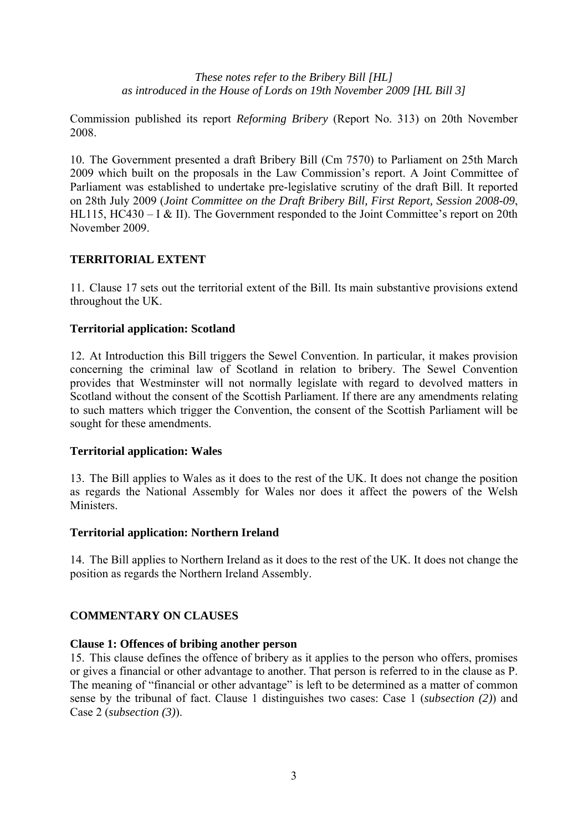Commission published its report *Reforming Bribery* (Report No. 313) on 20th November 2008.

10. The Government presented a draft Bribery Bill (Cm 7570) to Parliament on 25th March 2009 which built on the proposals in the Law Commission's report. A Joint Committee of Parliament was established to undertake pre-legislative scrutiny of the draft Bill. It reported on 28th July 2009 (*Joint Committee on the Draft Bribery Bill, First Report, Session 2008-09*, HL115, HC430 – I & II). The Government responded to the Joint Committee's report on 20th November 2009.

## **TERRITORIAL EXTENT**

11. Clause 17 sets out the territorial extent of the Bill. Its main substantive provisions extend throughout the UK.

## **Territorial application: Scotland**

12. At Introduction this Bill triggers the Sewel Convention. In particular, it makes provision concerning the criminal law of Scotland in relation to bribery. The Sewel Convention provides that Westminster will not normally legislate with regard to devolved matters in Scotland without the consent of the Scottish Parliament. If there are any amendments relating to such matters which trigger the Convention, the consent of the Scottish Parliament will be sought for these amendments.

#### **Territorial application: Wales**

13. The Bill applies to Wales as it does to the rest of the UK. It does not change the position as regards the National Assembly for Wales nor does it affect the powers of the Welsh **Ministers** 

#### **Territorial application: Northern Ireland**

14. The Bill applies to Northern Ireland as it does to the rest of the UK. It does not change the position as regards the Northern Ireland Assembly.

#### **COMMENTARY ON CLAUSES**

#### **Clause 1: Offences of bribing another person**

15. This clause defines the offence of bribery as it applies to the person who offers, promises or gives a financial or other advantage to another. That person is referred to in the clause as P. The meaning of "financial or other advantage" is left to be determined as a matter of common sense by the tribunal of fact. Clause 1 distinguishes two cases: Case 1 (*subsection (2)*) and Case 2 (*subsection (3)*).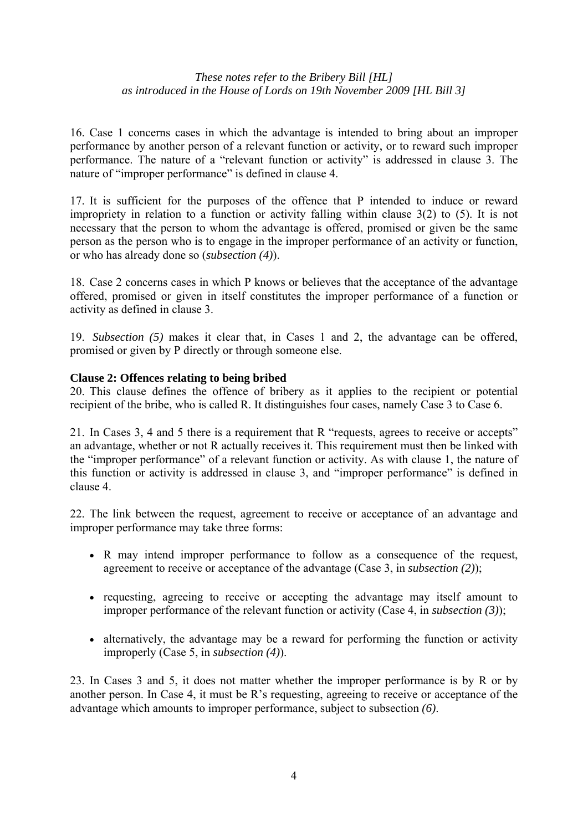16. Case 1 concerns cases in which the advantage is intended to bring about an improper performance by another person of a relevant function or activity, or to reward such improper performance. The nature of a "relevant function or activity" is addressed in clause 3. The nature of "improper performance" is defined in clause 4.

17. It is sufficient for the purposes of the offence that P intended to induce or reward impropriety in relation to a function or activity falling within clause 3(2) to (5). It is not necessary that the person to whom the advantage is offered, promised or given be the same person as the person who is to engage in the improper performance of an activity or function, or who has already done so (*subsection (4)*).

18. Case 2 concerns cases in which P knows or believes that the acceptance of the advantage offered, promised or given in itself constitutes the improper performance of a function or activity as defined in clause 3.

19. *Subsection (5)* makes it clear that, in Cases 1 and 2, the advantage can be offered, promised or given by P directly or through someone else.

## **Clause 2: Offences relating to being bribed**

20. This clause defines the offence of bribery as it applies to the recipient or potential recipient of the bribe, who is called R. It distinguishes four cases, namely Case 3 to Case 6.

21. In Cases 3, 4 and 5 there is a requirement that R "requests, agrees to receive or accepts" an advantage, whether or not R actually receives it. This requirement must then be linked with the "improper performance" of a relevant function or activity. As with clause 1, the nature of this function or activity is addressed in clause 3, and "improper performance" is defined in clause 4.

22. The link between the request, agreement to receive or acceptance of an advantage and improper performance may take three forms:

- R may intend improper performance to follow as a consequence of the request, agreement to receive or acceptance of the advantage (Case 3, in *subsection (2)*);
- requesting, agreeing to receive or accepting the advantage may itself amount to improper performance of the relevant function or activity (Case 4, in *subsection (3)*);
- alternatively, the advantage may be a reward for performing the function or activity improperly (Case 5, in *subsection (4)*).

23. In Cases 3 and 5, it does not matter whether the improper performance is by R or by another person. In Case 4, it must be R's requesting, agreeing to receive or acceptance of the advantage which amounts to improper performance, subject to subsection *(6)*.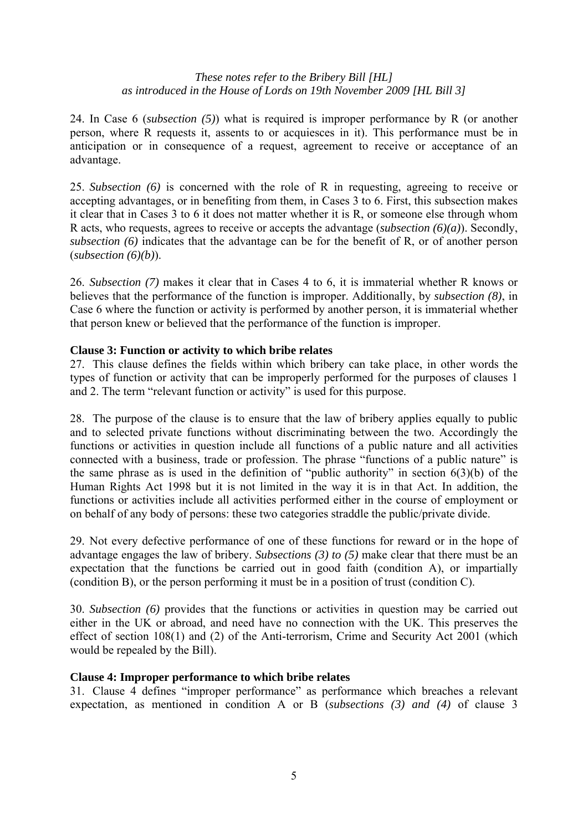24. In Case 6 (*subsection (5)*) what is required is improper performance by R (or another person, where R requests it, assents to or acquiesces in it). This performance must be in anticipation or in consequence of a request, agreement to receive or acceptance of an advantage.

25. *Subsection (6)* is concerned with the role of R in requesting, agreeing to receive or accepting advantages, or in benefiting from them, in Cases 3 to 6. First, this subsection makes it clear that in Cases 3 to 6 it does not matter whether it is R, or someone else through whom R acts, who requests, agrees to receive or accepts the advantage (*subsection (6)(a)*). Secondly, *subsection (6)* indicates that the advantage can be for the benefit of R, or of another person (*subsection (6)(b)*).

26. *Subsection (7)* makes it clear that in Cases 4 to 6, it is immaterial whether R knows or believes that the performance of the function is improper. Additionally, by *subsection (8)*, in Case 6 where the function or activity is performed by another person, it is immaterial whether that person knew or believed that the performance of the function is improper.

## **Clause 3: Function or activity to which bribe relates**

27. This clause defines the fields within which bribery can take place, in other words the types of function or activity that can be improperly performed for the purposes of clauses 1 and 2. The term "relevant function or activity" is used for this purpose.

28. The purpose of the clause is to ensure that the law of bribery applies equally to public and to selected private functions without discriminating between the two. Accordingly the functions or activities in question include all functions of a public nature and all activities connected with a business, trade or profession. The phrase "functions of a public nature" is the same phrase as is used in the definition of "public authority" in section 6(3)(b) of the Human Rights Act 1998 but it is not limited in the way it is in that Act. In addition, the functions or activities include all activities performed either in the course of employment or on behalf of any body of persons: these two categories straddle the public/private divide.

29. Not every defective performance of one of these functions for reward or in the hope of advantage engages the law of bribery. *Subsections (3) to (5)* make clear that there must be an expectation that the functions be carried out in good faith (condition A), or impartially (condition B), or the person performing it must be in a position of trust (condition C).

30. *Subsection (6)* provides that the functions or activities in question may be carried out either in the UK or abroad, and need have no connection with the UK. This preserves the effect of section 108(1) and (2) of the Anti-terrorism, Crime and Security Act 2001 (which would be repealed by the Bill).

#### **Clause 4: Improper performance to which bribe relates**

31. Clause 4 defines "improper performance" as performance which breaches a relevant expectation, as mentioned in condition A or B (*subsections (3) and (4)* of clause 3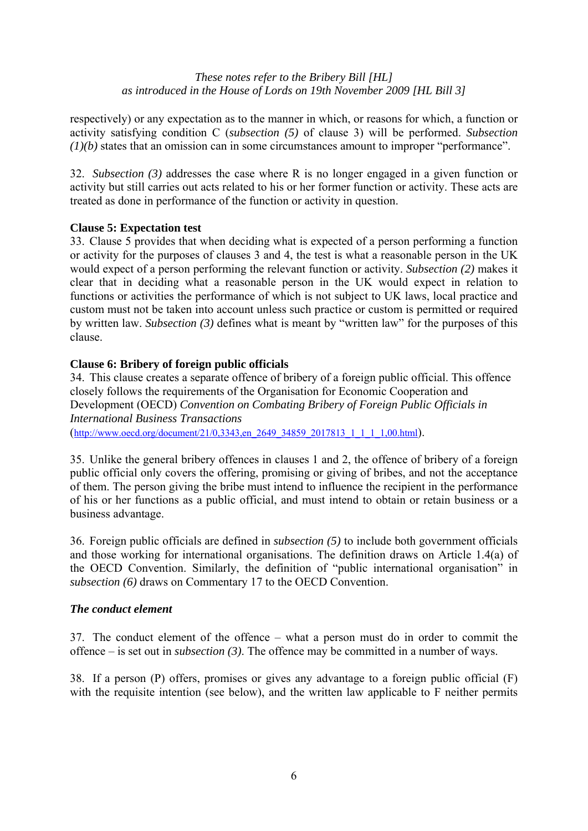respectively) or any expectation as to the manner in which, or reasons for which, a function or activity satisfying condition C (*subsection (5)* of clause 3) will be performed. *Subsection (1)(b)* states that an omission can in some circumstances amount to improper "performance".

32. *Subsection (3)* addresses the case where R is no longer engaged in a given function or activity but still carries out acts related to his or her former function or activity. These acts are treated as done in performance of the function or activity in question.

# **Clause 5: Expectation test**

33. Clause 5 provides that when deciding what is expected of a person performing a function or activity for the purposes of clauses 3 and 4, the test is what a reasonable person in the UK would expect of a person performing the relevant function or activity. *Subsection (2)* makes it clear that in deciding what a reasonable person in the UK would expect in relation to functions or activities the performance of which is not subject to UK laws, local practice and custom must not be taken into account unless such practice or custom is permitted or required by written law. *Subsection (3)* defines what is meant by "written law" for the purposes of this clause.

# **Clause 6: Bribery of foreign public officials**

34. This clause creates a separate offence of bribery of a foreign public official. This offence closely follows the requirements of the Organisation for Economic Cooperation and Development (OECD) *Convention on Combating Bribery of Foreign Public Officials in International Business Transactions*  (http://www.oecd.org/document/21/0,3343,en\_2649\_34859\_2017813\_1\_1\_1\_1,00.html).

35. Unlike the general bribery offences in clauses 1 and 2, the offence of bribery of a foreign public official only covers the offering, promising or giving of bribes, and not the acceptance of them. The person giving the bribe must intend to influence the recipient in the performance of his or her functions as a public official, and must intend to obtain or retain business or a business advantage.

36. Foreign public officials are defined in *subsection (5)* to include both government officials and those working for international organisations. The definition draws on Article 1.4(a) of the OECD Convention. Similarly, the definition of "public international organisation" in *subsection (6)* draws on Commentary 17 to the OECD Convention.

# *The conduct element*

37. The conduct element of the offence – what a person must do in order to commit the offence – is set out in *subsection (3)*. The offence may be committed in a number of ways.

38. If a person (P) offers, promises or gives any advantage to a foreign public official (F) with the requisite intention (see below), and the written law applicable to F neither permits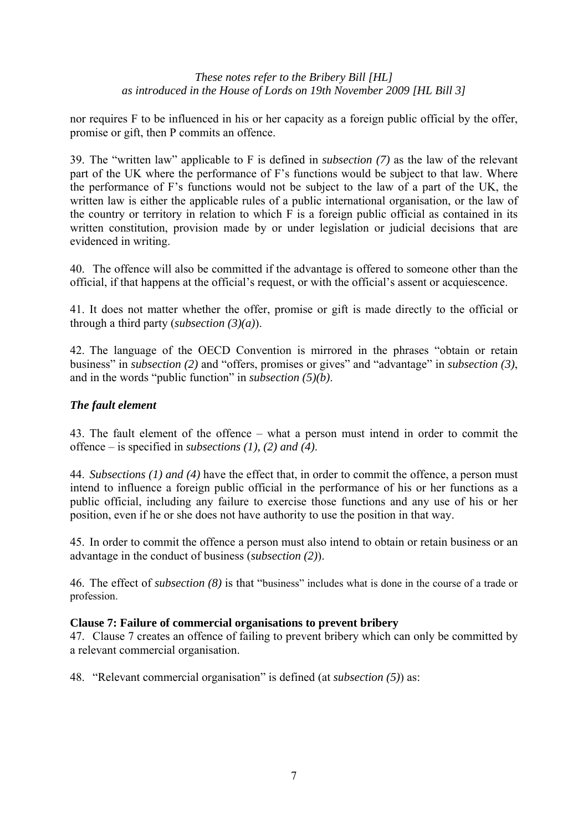nor requires F to be influenced in his or her capacity as a foreign public official by the offer, promise or gift, then P commits an offence.

39. The "written law" applicable to F is defined in *subsection (7)* as the law of the relevant part of the UK where the performance of F's functions would be subject to that law. Where the performance of F's functions would not be subject to the law of a part of the UK, the written law is either the applicable rules of a public international organisation, or the law of the country or territory in relation to which F is a foreign public official as contained in its written constitution, provision made by or under legislation or judicial decisions that are evidenced in writing.

40. The offence will also be committed if the advantage is offered to someone other than the official, if that happens at the official's request, or with the official's assent or acquiescence.

41. It does not matter whether the offer, promise or gift is made directly to the official or through a third party (*subsection (3)(a)*).

42. The language of the OECD Convention is mirrored in the phrases "obtain or retain business" in *subsection (2)* and "offers, promises or gives" and "advantage" in *subsection (3)*, and in the words "public function" in *subsection (5)(b)*.

# *The fault element*

43. The fault element of the offence – what a person must intend in order to commit the offence – is specified in *subsections (1), (2) and (4)*.

44. *Subsections (1) and (4)* have the effect that, in order to commit the offence, a person must intend to influence a foreign public official in the performance of his or her functions as a public official, including any failure to exercise those functions and any use of his or her position, even if he or she does not have authority to use the position in that way.

45. In order to commit the offence a person must also intend to obtain or retain business or an advantage in the conduct of business (*subsection (2)*).

46. The effect of *subsection (8)* is that "business" includes what is done in the course of a trade or profession.

#### **Clause 7: Failure of commercial organisations to prevent bribery**

47. Clause 7 creates an offence of failing to prevent bribery which can only be committed by a relevant commercial organisation.

48. "Relevant commercial organisation" is defined (at *subsection (5)*) as: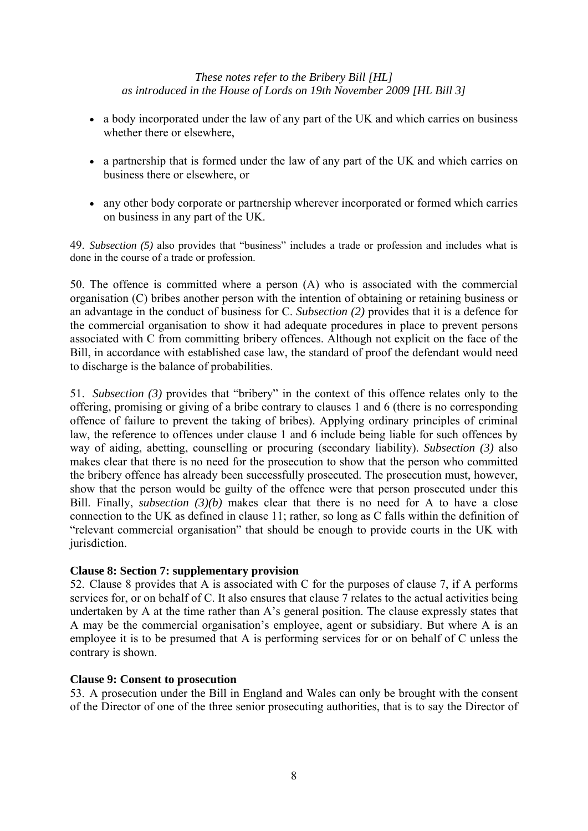- a body incorporated under the law of any part of the UK and which carries on business whether there or elsewhere,
- a partnership that is formed under the law of any part of the UK and which carries on business there or elsewhere, or
- any other body corporate or partnership wherever incorporated or formed which carries on business in any part of the UK.

49. *Subsection (5)* also provides that "business" includes a trade or profession and includes what is done in the course of a trade or profession.

50. The offence is committed where a person (A) who is associated with the commercial organisation (C) bribes another person with the intention of obtaining or retaining business or an advantage in the conduct of business for C. *Subsection (2)* provides that it is a defence for the commercial organisation to show it had adequate procedures in place to prevent persons associated with C from committing bribery offences. Although not explicit on the face of the Bill, in accordance with established case law, the standard of proof the defendant would need to discharge is the balance of probabilities.

51. *Subsection (3)* provides that "bribery" in the context of this offence relates only to the offering, promising or giving of a bribe contrary to clauses 1 and 6 (there is no corresponding offence of failure to prevent the taking of bribes). Applying ordinary principles of criminal law, the reference to offences under clause 1 and 6 include being liable for such offences by way of aiding, abetting, counselling or procuring (secondary liability). *Subsection (3)* also makes clear that there is no need for the prosecution to show that the person who committed the bribery offence has already been successfully prosecuted. The prosecution must, however, show that the person would be guilty of the offence were that person prosecuted under this Bill. Finally, *subsection (3)(b)* makes clear that there is no need for A to have a close connection to the UK as defined in clause 11; rather, so long as C falls within the definition of "relevant commercial organisation" that should be enough to provide courts in the UK with jurisdiction.

# **Clause 8: Section 7: supplementary provision**

52. Clause 8 provides that A is associated with C for the purposes of clause 7, if A performs services for, or on behalf of C. It also ensures that clause 7 relates to the actual activities being undertaken by A at the time rather than A's general position. The clause expressly states that A may be the commercial organisation's employee, agent or subsidiary. But where A is an employee it is to be presumed that A is performing services for or on behalf of C unless the contrary is shown.

#### **Clause 9: Consent to prosecution**

53. A prosecution under the Bill in England and Wales can only be brought with the consent of the Director of one of the three senior prosecuting authorities, that is to say the Director of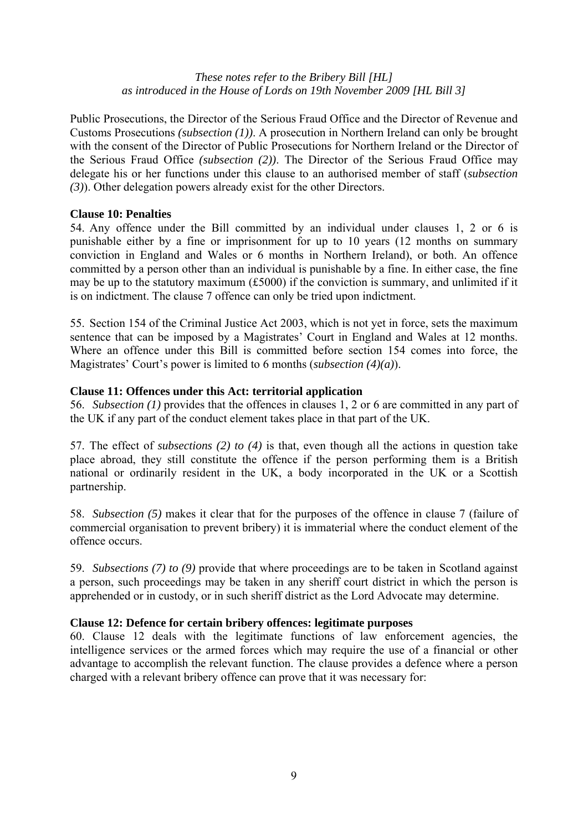Public Prosecutions, the Director of the Serious Fraud Office and the Director of Revenue and Customs Prosecutions *(subsection (1))*. A prosecution in Northern Ireland can only be brought with the consent of the Director of Public Prosecutions for Northern Ireland or the Director of the Serious Fraud Office *(subsection (2))*. The Director of the Serious Fraud Office may delegate his or her functions under this clause to an authorised member of staff (*subsection (3)*). Other delegation powers already exist for the other Directors.

## **Clause 10: Penalties**

54. Any offence under the Bill committed by an individual under clauses 1, 2 or 6 is punishable either by a fine or imprisonment for up to 10 years (12 months on summary conviction in England and Wales or 6 months in Northern Ireland), or both. An offence committed by a person other than an individual is punishable by a fine. In either case, the fine may be up to the statutory maximum (£5000) if the conviction is summary, and unlimited if it is on indictment. The clause 7 offence can only be tried upon indictment.

55. Section 154 of the Criminal Justice Act 2003, which is not yet in force, sets the maximum sentence that can be imposed by a Magistrates' Court in England and Wales at 12 months. Where an offence under this Bill is committed before section 154 comes into force, the Magistrates' Court's power is limited to 6 months (*subsection (4)(a)*).

## **Clause 11: Offences under this Act: territorial application**

56. *Subsection (1)* provides that the offences in clauses 1, 2 or 6 are committed in any part of the UK if any part of the conduct element takes place in that part of the UK.

57. The effect of *subsections (2) to (4)* is that, even though all the actions in question take place abroad, they still constitute the offence if the person performing them is a British national or ordinarily resident in the UK, a body incorporated in the UK or a Scottish partnership.

58. *Subsection (5)* makes it clear that for the purposes of the offence in clause 7 (failure of commercial organisation to prevent bribery) it is immaterial where the conduct element of the offence occurs.

59. *Subsections (7) to (9)* provide that where proceedings are to be taken in Scotland against a person, such proceedings may be taken in any sheriff court district in which the person is apprehended or in custody, or in such sheriff district as the Lord Advocate may determine.

# **Clause 12: Defence for certain bribery offences: legitimate purposes**

60. Clause 12 deals with the legitimate functions of law enforcement agencies, the intelligence services or the armed forces which may require the use of a financial or other advantage to accomplish the relevant function. The clause provides a defence where a person charged with a relevant bribery offence can prove that it was necessary for: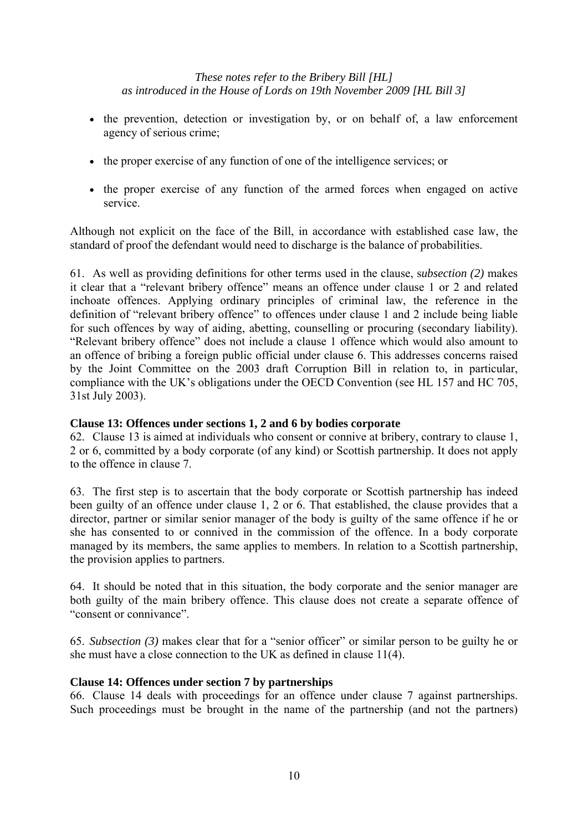- the prevention, detection or investigation by, or on behalf of, a law enforcement agency of serious crime;
- the proper exercise of any function of one of the intelligence services; or
- the proper exercise of any function of the armed forces when engaged on active service.

Although not explicit on the face of the Bill, in accordance with established case law, the standard of proof the defendant would need to discharge is the balance of probabilities.

61. As well as providing definitions for other terms used in the clause, s*ubsection (2)* makes it clear that a "relevant bribery offence" means an offence under clause 1 or 2 and related inchoate offences. Applying ordinary principles of criminal law, the reference in the definition of "relevant bribery offence" to offences under clause 1 and 2 include being liable for such offences by way of aiding, abetting, counselling or procuring (secondary liability). "Relevant bribery offence" does not include a clause 1 offence which would also amount to an offence of bribing a foreign public official under clause 6. This addresses concerns raised by the Joint Committee on the 2003 draft Corruption Bill in relation to, in particular, compliance with the UK's obligations under the OECD Convention (see HL 157 and HC 705, 31st July 2003).

# **Clause 13: Offences under sections 1, 2 and 6 by bodies corporate**

62. Clause 13 is aimed at individuals who consent or connive at bribery, contrary to clause 1, 2 or 6, committed by a body corporate (of any kind) or Scottish partnership. It does not apply to the offence in clause 7.

63. The first step is to ascertain that the body corporate or Scottish partnership has indeed been guilty of an offence under clause 1, 2 or 6. That established, the clause provides that a director, partner or similar senior manager of the body is guilty of the same offence if he or she has consented to or connived in the commission of the offence. In a body corporate managed by its members, the same applies to members. In relation to a Scottish partnership, the provision applies to partners.

64. It should be noted that in this situation, the body corporate and the senior manager are both guilty of the main bribery offence. This clause does not create a separate offence of "consent or connivance".

65. *Subsection (3)* makes clear that for a "senior officer" or similar person to be guilty he or she must have a close connection to the UK as defined in clause 11(4).

# **Clause 14: Offences under section 7 by partnerships**

66. Clause 14 deals with proceedings for an offence under clause 7 against partnerships. Such proceedings must be brought in the name of the partnership (and not the partners)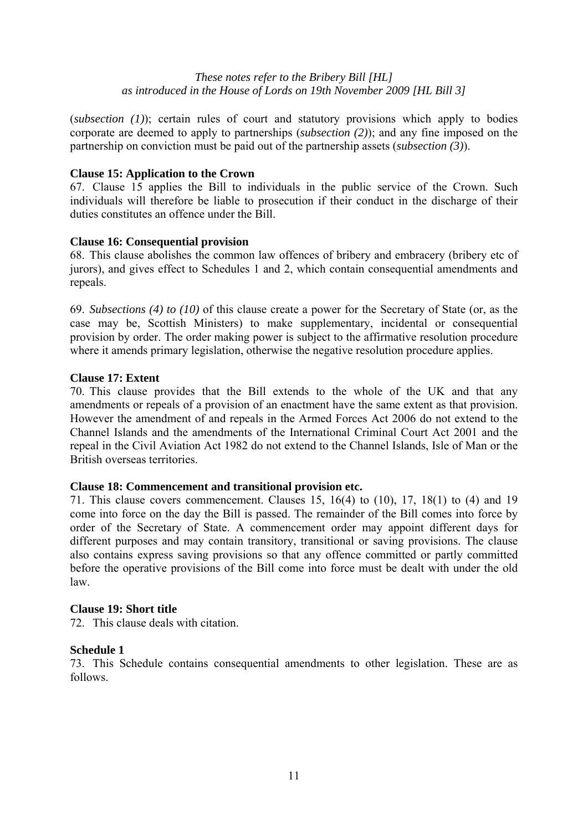(*subsection (1)*); certain rules of court and statutory provisions which apply to bodies corporate are deemed to apply to partnerships (*subsection (2)*); and any fine imposed on the partnership on conviction must be paid out of the partnership assets (*subsection (3)*).

#### **Clause 15: Application to the Crown**

67. Clause 15 applies the Bill to individuals in the public service of the Crown. Such individuals will therefore be liable to prosecution if their conduct in the discharge of their duties constitutes an offence under the Bill.

## **Clause 16: Consequential provision**

68. This clause abolishes the common law offences of bribery and embracery (bribery etc of jurors), and gives effect to Schedules 1 and 2, which contain consequential amendments and repeals.

69. *Subsections (4) to (10)* of this clause create a power for the Secretary of State (or, as the case may be, Scottish Ministers) to make supplementary, incidental or consequential provision by order. The order making power is subject to the affirmative resolution procedure where it amends primary legislation, otherwise the negative resolution procedure applies.

## **Clause 17: Extent**

70. This clause provides that the Bill extends to the whole of the UK and that any amendments or repeals of a provision of an enactment have the same extent as that provision. However the amendment of and repeals in the Armed Forces Act 2006 do not extend to the Channel Islands and the amendments of the International Criminal Court Act 2001 and the repeal in the Civil Aviation Act 1982 do not extend to the Channel Islands, Isle of Man or the British overseas territories.

#### **Clause 18: Commencement and transitional provision etc.**

71. This clause covers commencement. Clauses 15, 16(4) to (10), 17, 18(1) to (4) and 19 come into force on the day the Bill is passed. The remainder of the Bill comes into force by order of the Secretary of State. A commencement order may appoint different days for different purposes and may contain transitory, transitional or saving provisions. The clause also contains express saving provisions so that any offence committed or partly committed before the operative provisions of the Bill come into force must be dealt with under the old law.

#### **Clause 19: Short title**

72. This clause deals with citation.

#### **Schedule 1**

73. This Schedule contains consequential amendments to other legislation. These are as follows.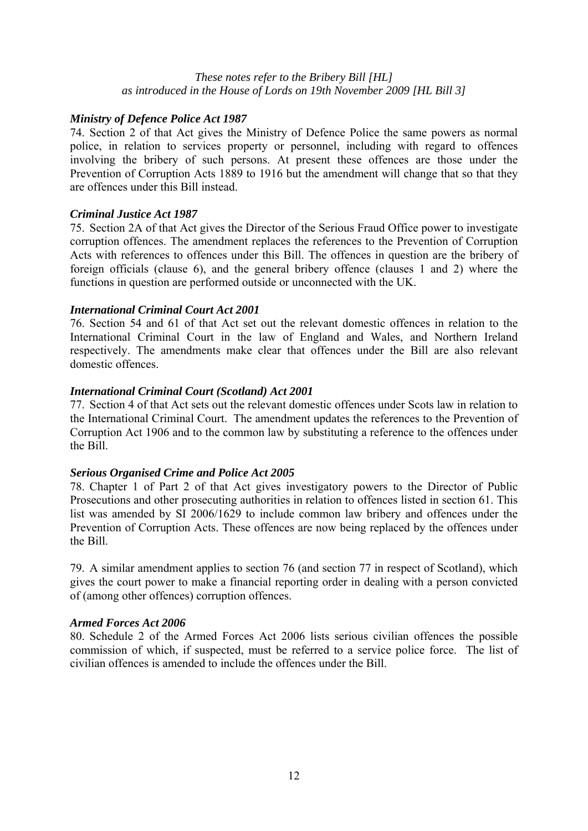## *Ministry of Defence Police Act 1987*

74. Section 2 of that Act gives the Ministry of Defence Police the same powers as normal police, in relation to services property or personnel, including with regard to offences involving the bribery of such persons. At present these offences are those under the Prevention of Corruption Acts 1889 to 1916 but the amendment will change that so that they are offences under this Bill instead.

## *Criminal Justice Act 1987*

75. Section 2A of that Act gives the Director of the Serious Fraud Office power to investigate corruption offences. The amendment replaces the references to the Prevention of Corruption Acts with references to offences under this Bill. The offences in question are the bribery of foreign officials (clause 6), and the general bribery offence (clauses 1 and 2) where the functions in question are performed outside or unconnected with the UK.

## *International Criminal Court Act 2001*

76. Section 54 and 61 of that Act set out the relevant domestic offences in relation to the International Criminal Court in the law of England and Wales, and Northern Ireland respectively. The amendments make clear that offences under the Bill are also relevant domestic offences.

#### *International Criminal Court (Scotland) Act 2001*

77. Section 4 of that Act sets out the relevant domestic offences under Scots law in relation to the International Criminal Court. The amendment updates the references to the Prevention of Corruption Act 1906 and to the common law by substituting a reference to the offences under the Bill.

#### *Serious Organised Crime and Police Act 2005*

78. Chapter 1 of Part 2 of that Act gives investigatory powers to the Director of Public Prosecutions and other prosecuting authorities in relation to offences listed in section 61. This list was amended by SI 2006/1629 to include common law bribery and offences under the Prevention of Corruption Acts. These offences are now being replaced by the offences under the Bill.

79. A similar amendment applies to section 76 (and section 77 in respect of Scotland), which gives the court power to make a financial reporting order in dealing with a person convicted of (among other offences) corruption offences.

#### *Armed Forces Act 2006*

80. Schedule 2 of the Armed Forces Act 2006 lists serious civilian offences the possible commission of which, if suspected, must be referred to a service police force. The list of civilian offences is amended to include the offences under the Bill.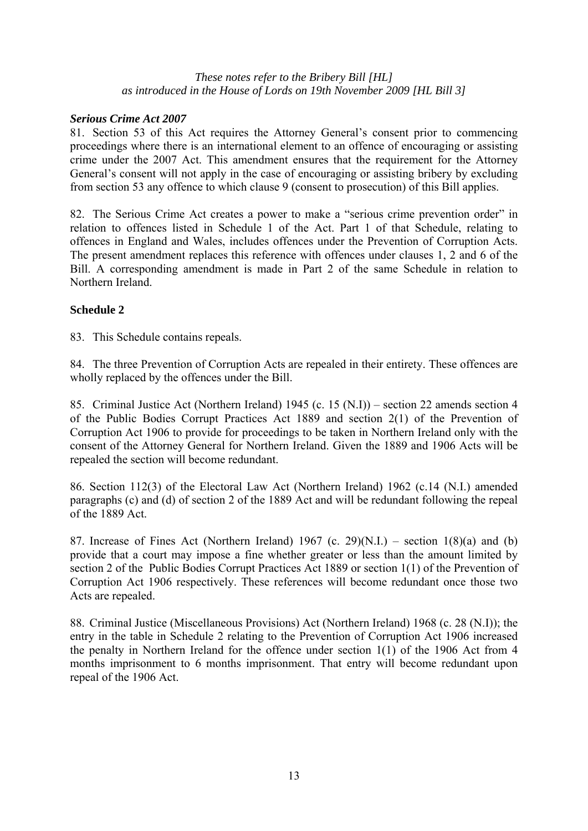# *Serious Crime Act 2007*

81. Section 53 of this Act requires the Attorney General's consent prior to commencing proceedings where there is an international element to an offence of encouraging or assisting crime under the 2007 Act. This amendment ensures that the requirement for the Attorney General's consent will not apply in the case of encouraging or assisting bribery by excluding from section 53 any offence to which clause 9 (consent to prosecution) of this Bill applies.

82. The Serious Crime Act creates a power to make a "serious crime prevention order" in relation to offences listed in Schedule 1 of the Act. Part 1 of that Schedule, relating to offences in England and Wales, includes offences under the Prevention of Corruption Acts. The present amendment replaces this reference with offences under clauses 1, 2 and 6 of the Bill. A corresponding amendment is made in Part 2 of the same Schedule in relation to Northern Ireland.

## **Schedule 2**

83. This Schedule contains repeals.

84. The three Prevention of Corruption Acts are repealed in their entirety. These offences are wholly replaced by the offences under the Bill.

85. Criminal Justice Act (Northern Ireland) 1945 (c. 15 (N.I)) – section 22 amends section 4 of the Public Bodies Corrupt Practices Act 1889 and section 2(1) of the Prevention of Corruption Act 1906 to provide for proceedings to be taken in Northern Ireland only with the consent of the Attorney General for Northern Ireland. Given the 1889 and 1906 Acts will be repealed the section will become redundant.

86. Section 112(3) of the Electoral Law Act (Northern Ireland) 1962 (c.14 (N.I.) amended paragraphs (c) and (d) of section 2 of the 1889 Act and will be redundant following the repeal of the 1889 Act.

87. Increase of Fines Act (Northern Ireland) 1967 (c. 29)(N.I.) – section  $1(8)(a)$  and (b) provide that a court may impose a fine whether greater or less than the amount limited by section 2 of the Public Bodies Corrupt Practices Act 1889 or section 1(1) of the Prevention of Corruption Act 1906 respectively. These references will become redundant once those two Acts are repealed.

88. Criminal Justice (Miscellaneous Provisions) Act (Northern Ireland) 1968 (c. 28 (N.I)); the entry in the table in Schedule 2 relating to the Prevention of Corruption Act 1906 increased the penalty in Northern Ireland for the offence under section 1(1) of the 1906 Act from 4 months imprisonment to 6 months imprisonment. That entry will become redundant upon repeal of the 1906 Act.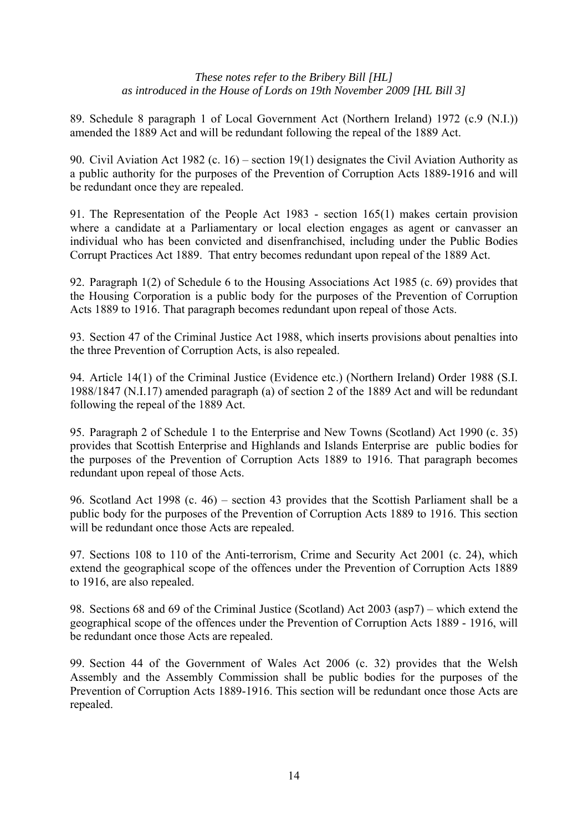89. Schedule 8 paragraph 1 of Local Government Act (Northern Ireland) 1972 (c.9 (N.I.)) amended the 1889 Act and will be redundant following the repeal of the 1889 Act.

90. Civil Aviation Act 1982 (c. 16) – section 19(1) designates the Civil Aviation Authority as a public authority for the purposes of the Prevention of Corruption Acts 1889-1916 and will be redundant once they are repealed.

91. The Representation of the People Act 1983 - section 165(1) makes certain provision where a candidate at a Parliamentary or local election engages as agent or canvasser an individual who has been convicted and disenfranchised, including under the Public Bodies Corrupt Practices Act 1889. That entry becomes redundant upon repeal of the 1889 Act.

92. Paragraph 1(2) of Schedule 6 to the Housing Associations Act 1985 (c. 69) provides that the Housing Corporation is a public body for the purposes of the Prevention of Corruption Acts 1889 to 1916. That paragraph becomes redundant upon repeal of those Acts.

93. Section 47 of the Criminal Justice Act 1988, which inserts provisions about penalties into the three Prevention of Corruption Acts, is also repealed.

94. Article 14(1) of the Criminal Justice (Evidence etc.) (Northern Ireland) Order 1988 (S.I. 1988/1847 (N.I.17) amended paragraph (a) of section 2 of the 1889 Act and will be redundant following the repeal of the 1889 Act.

95. Paragraph 2 of Schedule 1 to the Enterprise and New Towns (Scotland) Act 1990 (c. 35) provides that Scottish Enterprise and Highlands and Islands Enterprise are public bodies for the purposes of the Prevention of Corruption Acts 1889 to 1916. That paragraph becomes redundant upon repeal of those Acts.

96. Scotland Act 1998 (c. 46) – section 43 provides that the Scottish Parliament shall be a public body for the purposes of the Prevention of Corruption Acts 1889 to 1916. This section will be redundant once those Acts are repealed.

97. Sections 108 to 110 of the Anti-terrorism, Crime and Security Act 2001 (c. 24), which extend the geographical scope of the offences under the Prevention of Corruption Acts 1889 to 1916, are also repealed.

98. Sections 68 and 69 of the Criminal Justice (Scotland) Act 2003 (asp7) – which extend the geographical scope of the offences under the Prevention of Corruption Acts 1889 - 1916, will be redundant once those Acts are repealed.

99. Section 44 of the Government of Wales Act 2006 (c. 32) provides that the Welsh Assembly and the Assembly Commission shall be public bodies for the purposes of the Prevention of Corruption Acts 1889-1916. This section will be redundant once those Acts are repealed.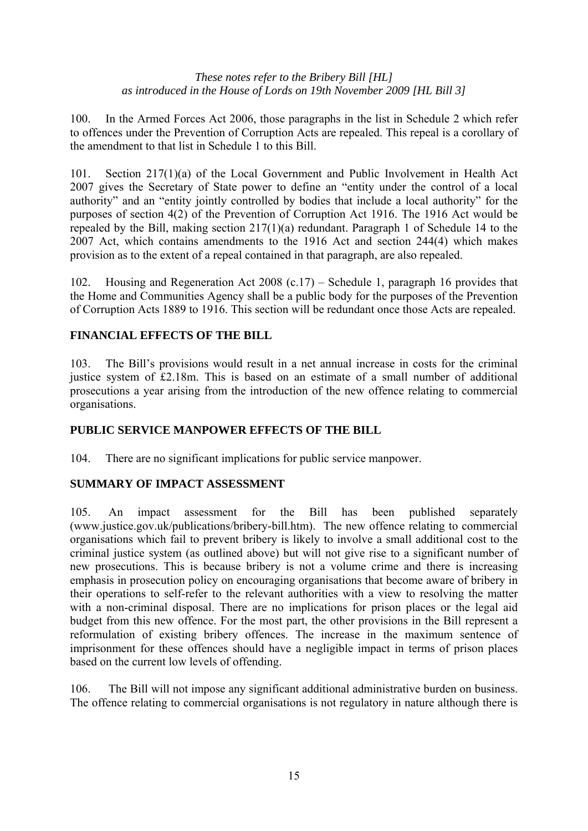100. In the Armed Forces Act 2006, those paragraphs in the list in Schedule 2 which refer to offences under the Prevention of Corruption Acts are repealed. This repeal is a corollary of the amendment to that list in Schedule 1 to this Bill.

101. Section 217(1)(a) of the Local Government and Public Involvement in Health Act 2007 gives the Secretary of State power to define an "entity under the control of a local authority" and an "entity jointly controlled by bodies that include a local authority" for the purposes of section 4(2) of the Prevention of Corruption Act 1916. The 1916 Act would be repealed by the Bill, making section 217(1)(a) redundant. Paragraph 1 of Schedule 14 to the 2007 Act, which contains amendments to the 1916 Act and section 244(4) which makes provision as to the extent of a repeal contained in that paragraph, are also repealed.

102. Housing and Regeneration Act 2008 (c.17) – Schedule 1, paragraph 16 provides that the Home and Communities Agency shall be a public body for the purposes of the Prevention of Corruption Acts 1889 to 1916. This section will be redundant once those Acts are repealed.

# **FINANCIAL EFFECTS OF THE BILL**

103. The Bill's provisions would result in a net annual increase in costs for the criminal justice system of £2.18m. This is based on an estimate of a small number of additional prosecutions a year arising from the introduction of the new offence relating to commercial organisations.

# **PUBLIC SERVICE MANPOWER EFFECTS OF THE BILL**

104. There are no significant implications for public service manpower.

# **SUMMARY OF IMPACT ASSESSMENT**

105. An impact assessment for the Bill has been published separately (www.justice.gov.uk/publications/bribery-bill.htm). The new offence relating to commercial organisations which fail to prevent bribery is likely to involve a small additional cost to the criminal justice system (as outlined above) but will not give rise to a significant number of new prosecutions. This is because bribery is not a volume crime and there is increasing emphasis in prosecution policy on encouraging organisations that become aware of bribery in their operations to self-refer to the relevant authorities with a view to resolving the matter with a non-criminal disposal. There are no implications for prison places or the legal aid budget from this new offence. For the most part, the other provisions in the Bill represent a reformulation of existing bribery offences. The increase in the maximum sentence of imprisonment for these offences should have a negligible impact in terms of prison places based on the current low levels of offending.

106. The Bill will not impose any significant additional administrative burden on business. The offence relating to commercial organisations is not regulatory in nature although there is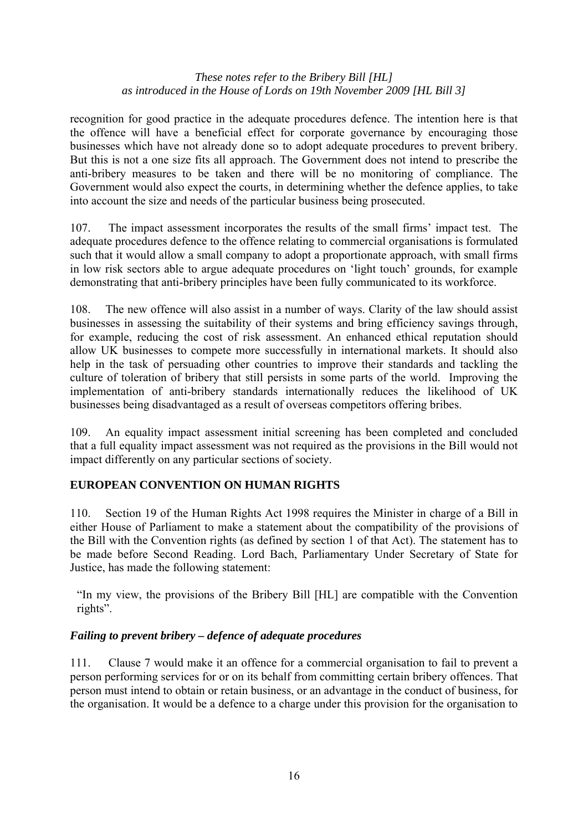recognition for good practice in the adequate procedures defence. The intention here is that the offence will have a beneficial effect for corporate governance by encouraging those businesses which have not already done so to adopt adequate procedures to prevent bribery. But this is not a one size fits all approach. The Government does not intend to prescribe the anti-bribery measures to be taken and there will be no monitoring of compliance. The Government would also expect the courts, in determining whether the defence applies, to take into account the size and needs of the particular business being prosecuted.

107. The impact assessment incorporates the results of the small firms' impact test. The adequate procedures defence to the offence relating to commercial organisations is formulated such that it would allow a small company to adopt a proportionate approach, with small firms in low risk sectors able to argue adequate procedures on 'light touch' grounds, for example demonstrating that anti-bribery principles have been fully communicated to its workforce.

108. The new offence will also assist in a number of ways. Clarity of the law should assist businesses in assessing the suitability of their systems and bring efficiency savings through, for example, reducing the cost of risk assessment. An enhanced ethical reputation should allow UK businesses to compete more successfully in international markets. It should also help in the task of persuading other countries to improve their standards and tackling the culture of toleration of bribery that still persists in some parts of the world. Improving the implementation of anti-bribery standards internationally reduces the likelihood of UK businesses being disadvantaged as a result of overseas competitors offering bribes.

109. An equality impact assessment initial screening has been completed and concluded that a full equality impact assessment was not required as the provisions in the Bill would not impact differently on any particular sections of society.

# **EUROPEAN CONVENTION ON HUMAN RIGHTS**

110. Section 19 of the Human Rights Act 1998 requires the Minister in charge of a Bill in either House of Parliament to make a statement about the compatibility of the provisions of the Bill with the Convention rights (as defined by section 1 of that Act). The statement has to be made before Second Reading. Lord Bach, Parliamentary Under Secretary of State for Justice, has made the following statement:

"In my view, the provisions of the Bribery Bill [HL] are compatible with the Convention rights".

# *Failing to prevent bribery – defence of adequate procedures*

111. Clause 7 would make it an offence for a commercial organisation to fail to prevent a person performing services for or on its behalf from committing certain bribery offences. That person must intend to obtain or retain business, or an advantage in the conduct of business, for the organisation. It would be a defence to a charge under this provision for the organisation to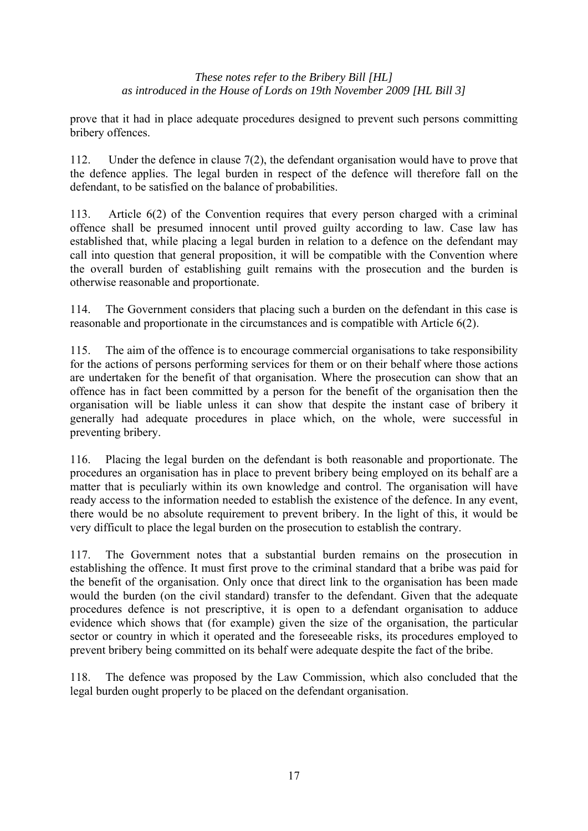prove that it had in place adequate procedures designed to prevent such persons committing bribery offences.

112. Under the defence in clause 7(2), the defendant organisation would have to prove that the defence applies. The legal burden in respect of the defence will therefore fall on the defendant, to be satisfied on the balance of probabilities.

113. Article 6(2) of the Convention requires that every person charged with a criminal offence shall be presumed innocent until proved guilty according to law. Case law has established that, while placing a legal burden in relation to a defence on the defendant may call into question that general proposition, it will be compatible with the Convention where the overall burden of establishing guilt remains with the prosecution and the burden is otherwise reasonable and proportionate.

114. The Government considers that placing such a burden on the defendant in this case is reasonable and proportionate in the circumstances and is compatible with Article 6(2).

115. The aim of the offence is to encourage commercial organisations to take responsibility for the actions of persons performing services for them or on their behalf where those actions are undertaken for the benefit of that organisation. Where the prosecution can show that an offence has in fact been committed by a person for the benefit of the organisation then the organisation will be liable unless it can show that despite the instant case of bribery it generally had adequate procedures in place which, on the whole, were successful in preventing bribery.

116. Placing the legal burden on the defendant is both reasonable and proportionate. The procedures an organisation has in place to prevent bribery being employed on its behalf are a matter that is peculiarly within its own knowledge and control. The organisation will have ready access to the information needed to establish the existence of the defence. In any event, there would be no absolute requirement to prevent bribery. In the light of this, it would be very difficult to place the legal burden on the prosecution to establish the contrary.

117. The Government notes that a substantial burden remains on the prosecution in establishing the offence. It must first prove to the criminal standard that a bribe was paid for the benefit of the organisation. Only once that direct link to the organisation has been made would the burden (on the civil standard) transfer to the defendant. Given that the adequate procedures defence is not prescriptive, it is open to a defendant organisation to adduce evidence which shows that (for example) given the size of the organisation, the particular sector or country in which it operated and the foreseeable risks, its procedures employed to prevent bribery being committed on its behalf were adequate despite the fact of the bribe.

118. The defence was proposed by the Law Commission, which also concluded that the legal burden ought properly to be placed on the defendant organisation.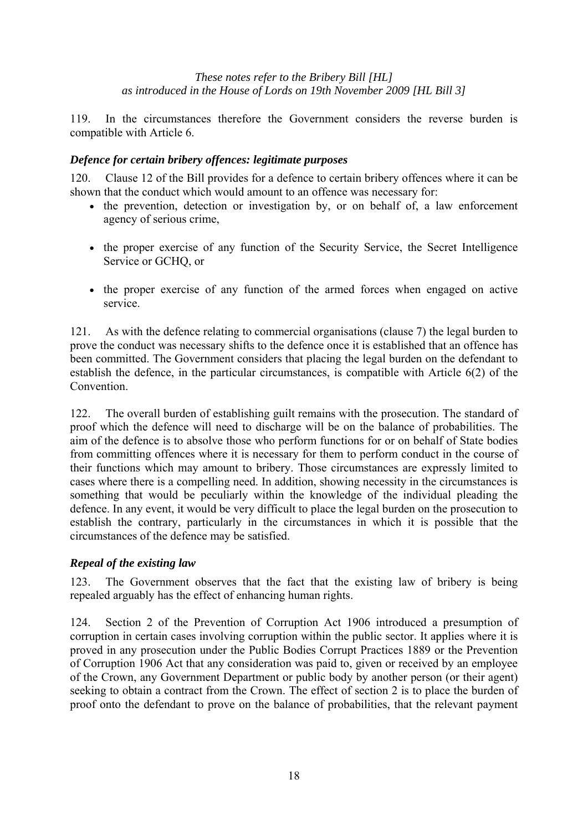119. In the circumstances therefore the Government considers the reverse burden is compatible with Article 6.

# *Defence for certain bribery offences: legitimate purposes*

120. Clause 12 of the Bill provides for a defence to certain bribery offences where it can be shown that the conduct which would amount to an offence was necessary for:

- the prevention, detection or investigation by, or on behalf of, a law enforcement agency of serious crime,
- the proper exercise of any function of the Security Service, the Secret Intelligence Service or GCHQ, or
- the proper exercise of any function of the armed forces when engaged on active service.

121. As with the defence relating to commercial organisations (clause 7) the legal burden to prove the conduct was necessary shifts to the defence once it is established that an offence has been committed. The Government considers that placing the legal burden on the defendant to establish the defence, in the particular circumstances, is compatible with Article 6(2) of the Convention.

122. The overall burden of establishing guilt remains with the prosecution. The standard of proof which the defence will need to discharge will be on the balance of probabilities. The aim of the defence is to absolve those who perform functions for or on behalf of State bodies from committing offences where it is necessary for them to perform conduct in the course of their functions which may amount to bribery. Those circumstances are expressly limited to cases where there is a compelling need. In addition, showing necessity in the circumstances is something that would be peculiarly within the knowledge of the individual pleading the defence. In any event, it would be very difficult to place the legal burden on the prosecution to establish the contrary, particularly in the circumstances in which it is possible that the circumstances of the defence may be satisfied.

# *Repeal of the existing law*

123. The Government observes that the fact that the existing law of bribery is being repealed arguably has the effect of enhancing human rights.

124. Section 2 of the Prevention of Corruption Act 1906 introduced a presumption of corruption in certain cases involving corruption within the public sector. It applies where it is proved in any prosecution under the Public Bodies Corrupt Practices 1889 or the Prevention of Corruption 1906 Act that any consideration was paid to, given or received by an employee of the Crown, any Government Department or public body by another person (or their agent) seeking to obtain a contract from the Crown. The effect of section 2 is to place the burden of proof onto the defendant to prove on the balance of probabilities, that the relevant payment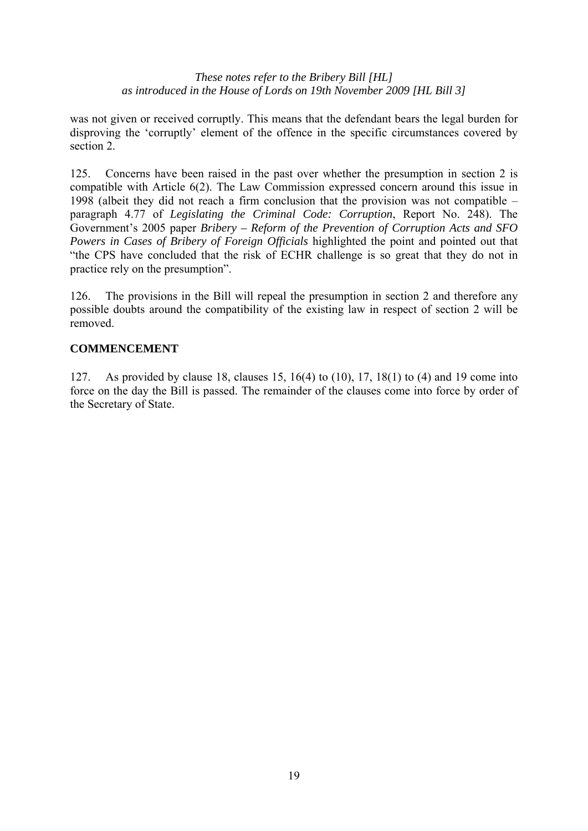was not given or received corruptly. This means that the defendant bears the legal burden for disproving the 'corruptly' element of the offence in the specific circumstances covered by section 2.

125. Concerns have been raised in the past over whether the presumption in section 2 is compatible with Article 6(2). The Law Commission expressed concern around this issue in 1998 (albeit they did not reach a firm conclusion that the provision was not compatible – paragraph 4.77 of *Legislating the Criminal Code: Corruption*, Report No. 248). The Government's 2005 paper *Bribery – Reform of the Prevention of Corruption Acts and SFO Powers in Cases of Bribery of Foreign Officials* highlighted the point and pointed out that "the CPS have concluded that the risk of ECHR challenge is so great that they do not in practice rely on the presumption".

126. The provisions in the Bill will repeal the presumption in section 2 and therefore any possible doubts around the compatibility of the existing law in respect of section 2 will be removed.

## **COMMENCEMENT**

127. As provided by clause 18, clauses 15, 16(4) to (10), 17, 18(1) to (4) and 19 come into force on the day the Bill is passed. The remainder of the clauses come into force by order of the Secretary of State.